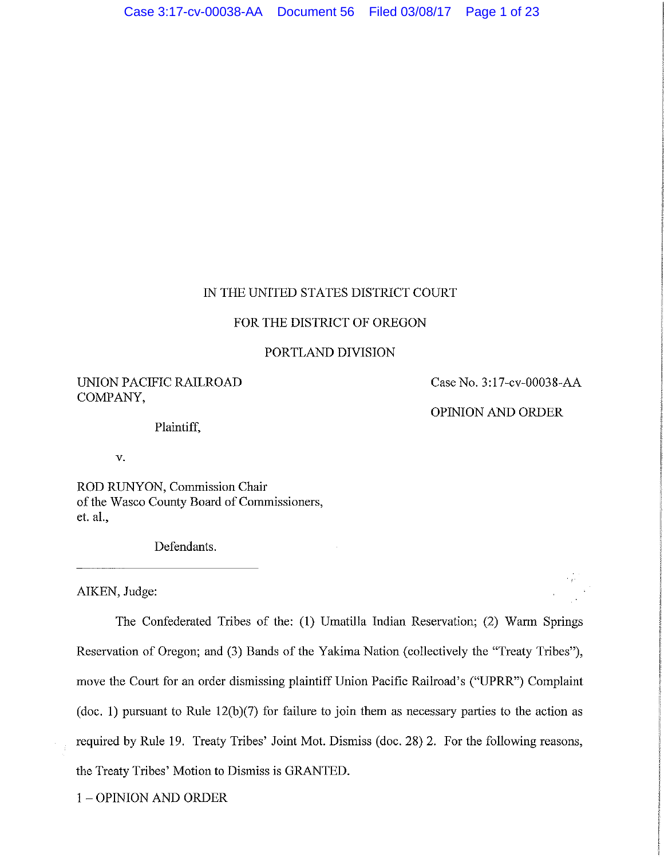# 1N THE UNITED STATES DISTRICT COURT

# FOR THE DISTRICT OF OREGON

### PORTLAND DIVISION

UNION PACIFIC RAILROAD COMPANY,

Case No. 3:17-cv-00038-AA

OPlNION AND ORDER

Plaintiff,

v.

ROD RUNYON, Commission Chair of the Wasco County Board of Commissioners, et. al.,

Defendants.

AIKEN, Judge:

The Confederated Tribes of the: (1) Umatilla Indian Reservation; (2) Warm Springs Reservation of Oregon; and (3) Bands of the Yakima Nation (collectively the "Treaty Tribes"), move the Court for an order dismissing plaintiff Union Pacific Railroad's ("UPRR") Complaint (doc. 1) pursuant to Rule 12(b)(7) for failure to join them as necessary parties to the action as required by Rule 19. Treaty Tribes' Joint Mot. Dismiss (doc. 28) 2. For the following reasons, the Treaty Tribes' Motion to Dismiss is GRANTED.

1 - OPINION AND ORDER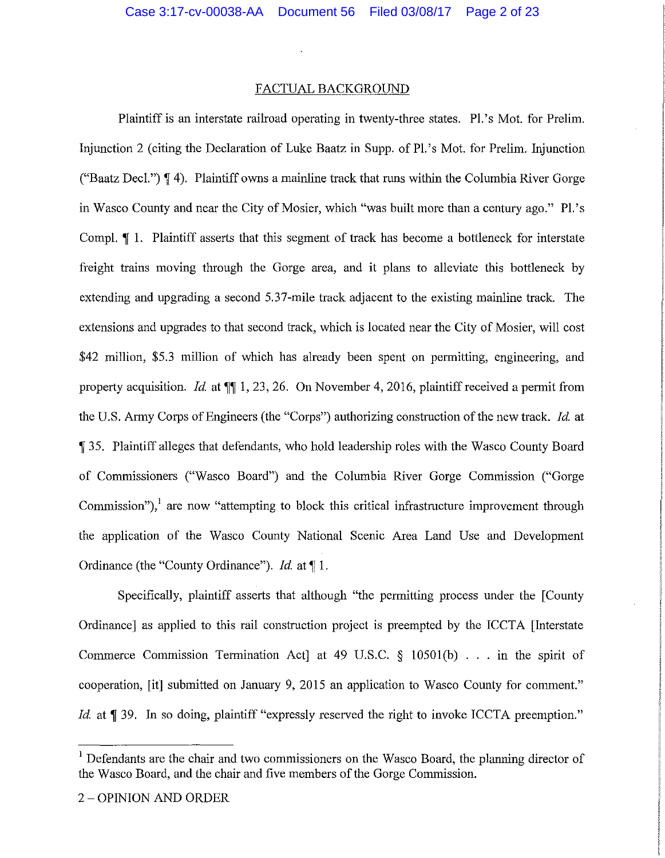#### FACTUAL BACKGROUND

Plaintiff is an interstate railroad operating in twenty-three states. Pl.'s Mot. for Prelim. Injunction 2 (citing the Declaration of Luke Baatz in Supp. of Pl.'s Mot. for Prelim. Injunction ("Baatz Deel.") **'I** 4). Plaintiff owns a mainline track that runs within the Columbia River Gorge in Wasco County and near the City of Mosier, which "was built more than a century ago." Pl.'s Comp!. **'j** 1. Plaintiff asserts that this segment of track has become a bottleneck for interstate freight trains moving through the Gorge area, and it plans to alleviate this bottleneck by extending and upgrading a second 5.37-mile track adjacent to the existing mainline track. The extensions and upgrades to that second track, which is located near the City of Mosier, will cost \$42 million, \$5.3 million of which has already been spent on permitting, engineering, and property acquisition. *Id.* at **'j'j** 1, 23, 26. On November 4, 2016, plaintiff received a permit from the U.S. Army Corps of Engineers (the "Corps") authorizing construction of the new track. *Id.* at **'j** 35. Plaintiff alleges that defendants, who hold leadership roles with the Wasco County Board of Commissioners ("Wasco Board") and the Columbia River Gorge Commission ("Gorge Commission"),<sup>1</sup> are now "attempting to block this critical infrastructure improvement through the application of the Wasco County National Scenic Area Land Use and Development Ordinance (the "County Ordinance"). *Id.* at **'j** l.

Specifically, plaintiff asserts that although "the permitting process under the [County Ordinance] as applied to this rail construction project is preempted by the ICCTA [Interstate Commerce Commission Termination Act] at 49 U.S.C. § 10501(b) ... in the spirit of cooperation, [it] submitted on January 9, 2015 an application to Wasco County for comment." *Id.* at **| 39.** In so doing, plaintiff "expressly reserved the right to invoke ICCTA preemption."

<sup>&</sup>lt;sup>1</sup> Defendants are the chair and two commissioners on the Wasco Board, the planning director of the Wasco Board, and the chair and five members of the Gorge Commission.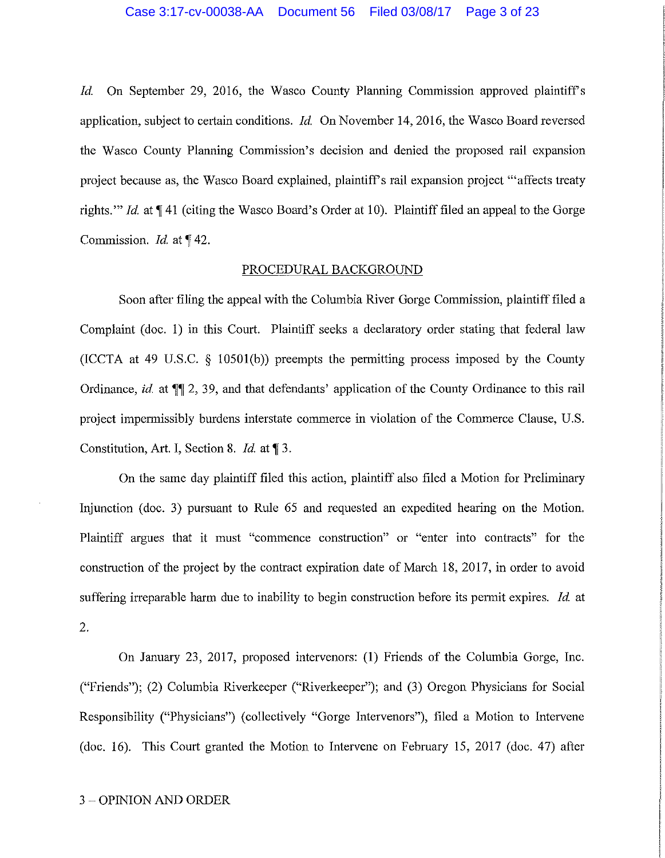*Id.* On September 29, 2016, the Wasco County Planning Commission approved plaintiff's application, subject to certain conditions. *Id.* On November 14, 2016, the Wasco Board reversed the Wasco County Planning Commission's decision and denied the proposed rail expansion project because as, the Wasco Board explained, plaintiff's rail expansion project "affects treaty rights." *Id.* at  $\P$  41 (citing the Wasco Board's Order at 10). Plaintiff filed an appeal to the Gorge Commission. *Id.* at 142.

#### PROCEDURAL BACKGROUND

Soon after filing the appeal with the Columbia River Gorge Commission, plaintiff filed a Complaint (doc. 1) in this Court. Plaintiff seeks a declaratory order stating that federal law (ICCTA at 49 U.S.C. § 10501(b)) preempts the permitting process imposed by the County Ordinance, *id.* at  $\P$  2, 39, and that defendants' application of the County Ordinance to this rail project impermissibly burdens interstate commerce in violation of the Commerce Clause, U.S. Constitution, Art. I, Section 8. *Id.* at 13.

On the same day plaintiff filed this action, plaintiff also filed a Motion for Preliminary Injunction (doc. 3) pursuant to Rule 65 and requested an expedited hearing on the Motion. Plaintiff argues that it must "commence construction" or "enter into contracts" for the construction of the project by the contract expiration date of March 18, 2017, in order to avoid suffering irreparable harm due to inability to begin construction before its permit expires. *Id.* at 2.

On January 23, 2017, proposed intervenors: (1) Friends of the Columbia Gorge, Inc. ("Friends"); (2) Columbia Riverkeeper ("Riverkeeper"); and (3) Oregon Physicians for Social Responsibility ("Physicians") (collectively "Gorge Intervenors"), filed a Motion to Intervene (doc. 16). This Court granted the Motion to Intervene on February 15, 2017 (doc. 47) after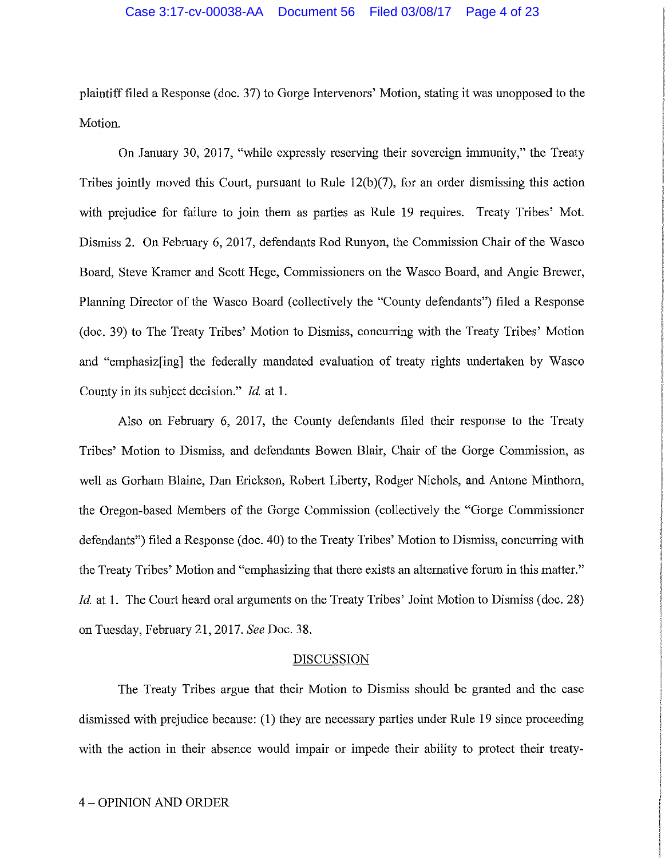plaintiff filed a Response (doc. 37) to Gorge Intervenors' Motion, stating it was unopposed to the Motion.

On January 30, 2017, "while expressly reserving their sovereign immunity," the Treaty Tribes jointly moved this Court, pursuant to Rule 12(b)(7), for an order dismissing this action with prejudice for failure to join them as parties as Rule 19 requires. Treaty Tribes' Mot. Dismiss 2. On February 6, 2017, defendants Rod Runyon, the Commission Chair of the Wasco Board, Steve Kramer and Scott Hege, Commissioners on the Wasco Board, and Angie Brewer, Planning Director of the Wasco Board (collectively the "County defendants") filed a Response (doc. 39) to The Treaty Tribes' Motion to Dismiss, concurring with the Treaty Tribes' Motion and "emphasiz[ing] the federally mandated evaluation of treaty rights undertaken by Wasco County in its subject decision." *Id* at 1.

Also on February 6, 2017, the County defendants filed their response to the Treaty Tribes' Motion to Dismiss, and defendants Bowen Blair, Chair of the Gorge Commission, as well as Gorham Blaine, Dan Erickson, Robert Liberty, Rodger Nichols, and Antone Minthom, the Oregon-based Members of the Gorge Commission (collectively the "Gorge Commissioner defendants") filed a Response (doc. 40) to the Treaty Tribes' Motion to Dismiss, concurring with the Treaty Tribes' Motion and "emphasizing that there exists an alternative forum in this matter." *Id.* at 1. The Court heard oral arguments on the Treaty Tribes' Joint Motion to Dismiss (doc. 28) on Tuesday, February 21, 2017. *See* Doc. 38.

#### **DISCUSSION**

The Treaty Tribes argue that their Motion to Dismiss should be granted and the case dismissed with prejudice because: (1) they are necessary parties under Rule 19 since proceeding with the action in their absence would impair or impede their ability to protect their treaty-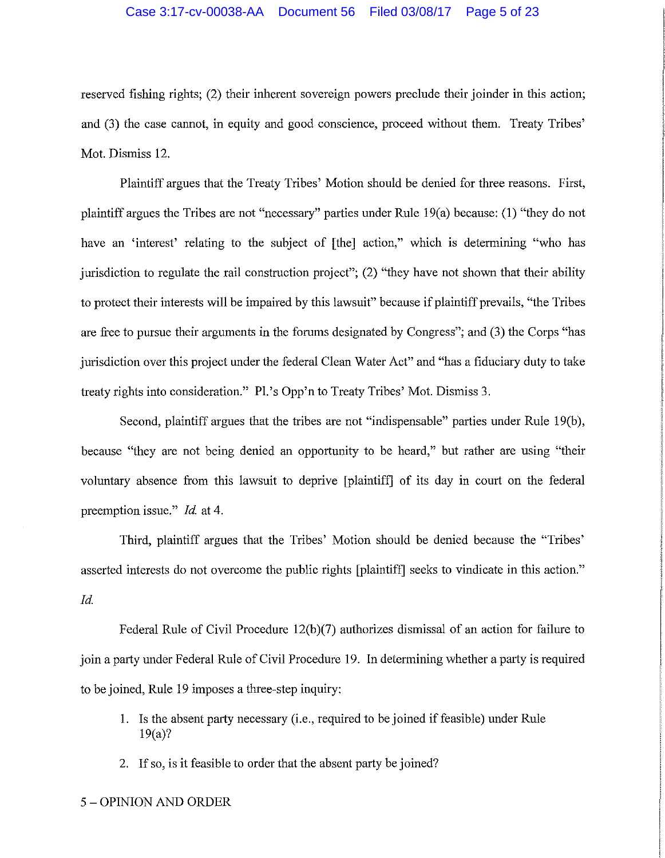#### Case 3:17-cv-00038-AA Document 56 Filed 03/08/17 Page 5 of 23

reserved fishing rights; (2) their inherent sovereign powers preclude their joinder in this action; and (3) the case cannot, in equity and good conscience, proceed without them. Treaty Tribes' Mot. Dismiss 12.

Plaintiff argues that the Treaty Tribes' Motion should be denied for three reasons. First, plaintiff argues the Tribes are not "necessary" parties under Rule 19(a) because: (1) "they do not have an 'interest' relating to the subject of [the] action," which is determining "who has jurisdiction to regulate the rail construction project"; (2) "they have not shown that their ability to protect their interests will be impaired by this lawsuit" because if plaintiff prevails, "the Tribes are free to pursue their arguments in the forums designated by Congress"; and (3) the Corps "has jurisdiction over this project under the federal Clean Water Act" and "has a fiduciary duty to take treaty rights into consideration." Pl.'s Opp'n to Treaty Tribes' Mot. Dismiss 3.

Second, plaintiff argues that the tribes are not "indispensable" parties under Rule 19(b), because "they are not being denied an opportunity to be heard," but rather are using "their voluntary absence from this lawsuit to deprive [plaintiff! of its day in court on the federal preemption issue." *Id.* at 4.

Third, plaintiff argues that the Tribes' Motion should be denied because the "Tribes' asserted interests do not overcome the public rights [plaintiff] seeks to vindicate in this action." *Id.* 

Federal Rule of Civil Procedure  $12(b)(7)$  authorizes dismissal of an action for failure to join a party under Federal Rule of Civil Procedure 19. In determining whether a party is required to be joined, Rule 19 imposes a three-step inquiry:

- 1. Is the absent party necessary (i.e., required to be joined if feasible) under Rule 19(a)?
- 2. If so, is it feasible to order that the absent party be joined?
- 5 OPINION AND ORDER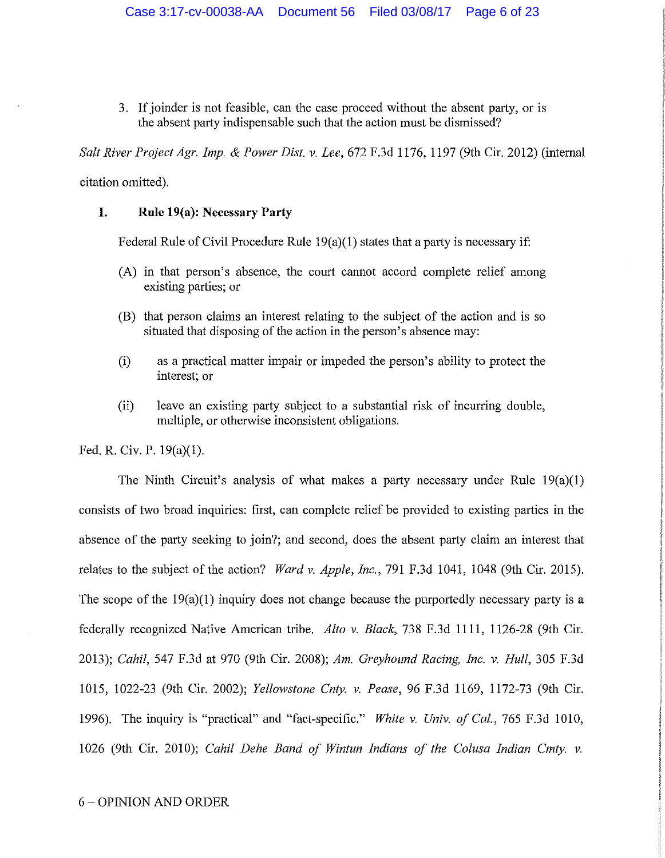3. If joinder is not feasible, can the case proceed without the absent party, or is the absent party indispensable such that the action must be dismissed?

*Salt River Project Agr. Imp.* & *Power Dist. v. Lee,* 672 F.3d 1176, 1197 (9th Cir. 2012) (internal

citation omitted).

### **I. Rule 19(a): Necessary Party**

Federal Rule of Civil Procedure Rule  $19(a)(1)$  states that a party is necessary if:

- (A) in that person's absence, the court cannot accord complete relief among existing parties; or
- (B) that person claims an interest relating to the subject of the action and is so situated that disposing of the action in the person's absence may:
- (i) as a practical matter impair or impeded the person's ability to protect the interest; or
- (ii) leave an existing party subject to a substantial risk of incurring double, multiple, or otherwise inconsistent obligations.

Fed. R. Civ. P. 19(a)(l).

The Ninth Circuit's analysis of what makes a party necessary under Rule 19(a)(l) consists of two broad inquiries: first, can complete relief be provided to existing parties in the absence of the party seeking to join?; and second, does the absent party claim an interest that relates to the subject of the action? *Ward v. Apple, Inc.,* 791 F.3d 1041, 1048 (9th Cir. 2015). The scope of the 19(a)(l) inquiry does not change because the purportedly necessary party is a federally recognized Native American tribe. *Alto v. Black,* 738 F.3d 1111, 1126-28 (9th Cir. 2013); *Cahil,* 547 F.3d at 970 (9th Cir. 2008); *Am. Greyhound Racing, Inc. v. Hull,* 305 F.3d 1015, 1022-23 (9th Cir. 2002); *Yellowstone Cnty. v. Pease,* 96 F.3d 1169, 1172-73 (9th Cir. 1996). The inquiry is "practical" and "fact-specific." *White v. Univ. of Cal.,* 765 F.3d 1010, 1026 (9th Cir. 2010); *Cahil Dehe Band of Wintun Indians of the Colusa Indian Cmty. v.*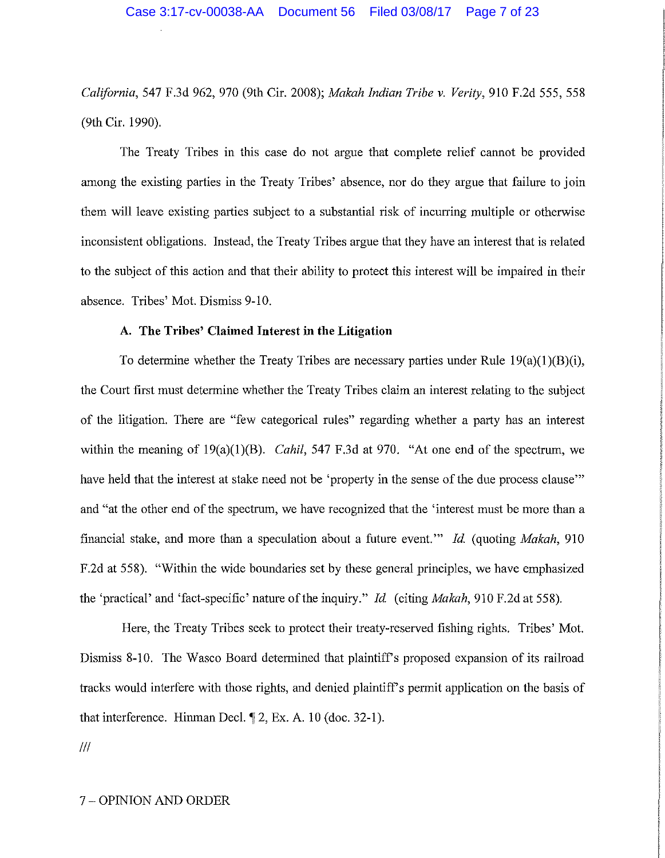*California,* 547 F.3d 962, 970 (9th Cir. 2008); *Makah Indian Tribe v. Verity,* 910 F.2d 555, 558 (9th Cir. 1990).

The Treaty Tribes in this case do not argue that complete relief cannot be provided among the existing parties in the Treaty Tribes' absence, nor do they argue that failure to join them will leave existing parties subject to a substantial risk of incurring multiple or otherwise inconsistent obligations. Instead, the Treaty Tribes argue that they have an interest that is related to the subject of this action and that their ability to protect this interest will be impaired in their absence. Tribes' Mot. Dismiss 9-10.

# **A. The Tribes' Claimed Interest in the Litigation**

To determine whether the Treaty Tribes are necessary parties under Rule  $19(a)(1)(B)(i)$ , the Court first must determine whether the Treaty Tribes claim an interest relating to the subject of the litigation. There are "few categorical rules" regarding whether a party has an interest within the meaning of 19(a)(1)(B). *Cahil*, 547 F.3d at 970. "At one end of the spectrum, we have held that the interest at stake need not be 'property in the sense of the due process clause'" and "at the other end of the spectrum, we have recognized that the 'interest must be more than a financial stake, and more than a speculation about a future event."' *Id.* (quoting *Makah,* 910 F.2d at 558). "Within the wide boundaries set by these general principles, we have emphasized the 'practical' and 'fact-specific' nature of the inquiry." *Id.* (citing *Makah,* 910 F.2d at 558).

Here, the Treaty Tribes seek to protect their treaty-reserved fishing rights. Tribes' Mot. Dismiss 8-10. The Wasco Board determined that plaintiff's proposed expansion of its railroad tracks would interfere with those rights, and denied plaintiff's permit application on the basis of that interference. Himnan Deel. **if** 2, Ex. A. 10 (doc. 32-1).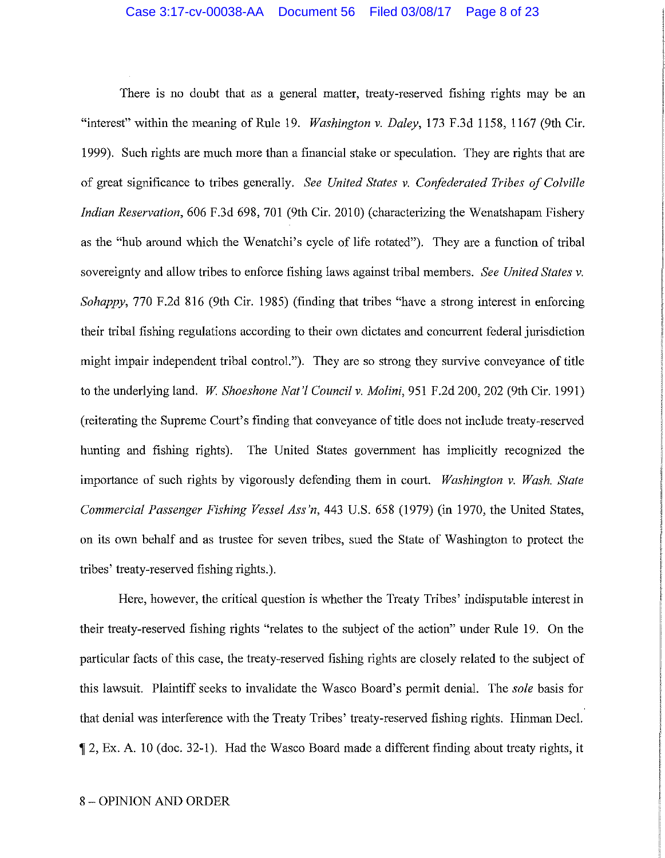There is no doubt that as a general matter, treaty-reserved fishing rights may be an "interest" within the meaning of Rule 19. *Washington v. Daley,* 173 F.3d 1158, 1167 (9th Cir. 1999). Such rights are much more than a financial stake or speculation. They are rights that are of great significance to tribes generally. *See United States v. Confederated Tribes of Colville Indian Reservation,* 606 F.3d 698, 701 (9th Cir. 2010) (characterizing the Wenatshapam Fishery as the "hub around which the Wenatchi's cycle of life rotated"). They are a function of tribal sovereignty and allow tribes to enforce fishing laws against tribal members. *See United States v. Sohappy,* 770 F.2d 816 (9th Cir. 1985) (finding that tribes "have a strong interest in enforcing their tribal fishing regulations according to their own dictates and concurrent federal jurisdiction might impair independent tribal control."). They are so strong they survive conveyance of title to the underlying land. *W. Shoeshone Nat'l Council v. Molini*, 951 F.2d 200, 202 (9th Cir. 1991) (reiterating the Supreme Court's finding that conveyance of title does not include treaty-reserved hunting and fishing rights). The United States government has implicitly recognized the importance of such rights by vigorously defending them in court. *Washington v. Wash. State Commercial Passenger Fishing Vessel Ass'n,* 443 U.S. 658 (1979) (in 1970, the United States, on its own behalf and as trustee for seven tribes, sued the State of Washington to protect the tribes' treaty-reserved fishing rights.).

Here, however, the critical question is whether the Treaty Tribes' indisputable interest in their treaty-reserved fishing rights "relates to the subject of the action" under Rule 19. On the particular facts of this case, the treaty-reserved fishing rights are closely related to the subject of this lawsuit. Plaintiff seeks to invalidate the Wasco Board's permit denial. The *sole* basis for that denial was interference with the Treaty Tribes' treaty-reserved fishing rights. Hinman Deel. if 2, Ex. A. 10 (doc. 32-1). Had the Wasco Board made a different finding about treaty rights, it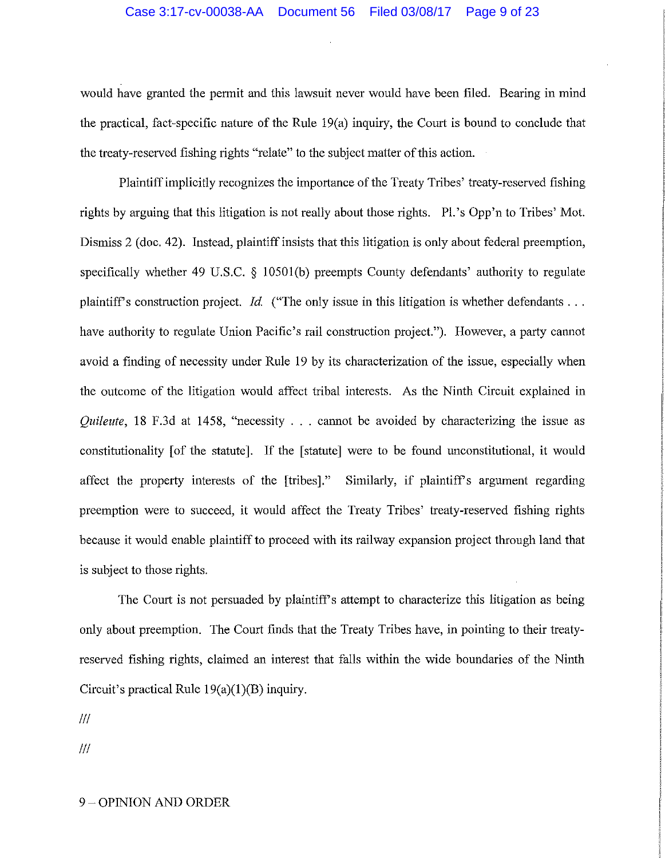would have granted the permit and this lawsuit never would have been filed. Bearing in mind the practical, fact-specific nature of the Rule 19(a) inquiry, the Court is bound to conclude that the treaty-reserved fishing rights "relate" to the subject matter of this action.

Plaintiff implicitly recognizes the importance of the Treaty Tribes' treaty-reserved fishing rights by arguing that this litigation is not really about those rights. Pl.'s Opp'n to Tribes' Mot. Dismiss 2 (doc. 42). Instead, plaintiff insists that this litigation is only about federal preemption, specifically whether 49 U.S.C. § 10501(b) preempts County defendants' authority to regulate plaintiff's construction project. *Id.* ("The only issue in this litigation is whether defendants ... have authority to regulate Union Pacific's rail construction project."). However, a party cannot avoid a finding of necessity under Rule 19 by its characterization of the issue, especially when the outcome of the litigation would affect tribal interests. As the Ninth Circuit explained in *Quileute*, 18 F.3d at 1458, "necessity . . . cannot be avoided by characterizing the issue as constitutionality [of the statute]. If the [statute] were to be found unconstitutional, it would affect the property interests of the [tribes]." Similarly, if plaintiffs argument regarding preemption were to succeed, it would affect the Treaty Tribes' treaty-reserved fishing rights because it would enable plaintiff to proceed with its railway expansion project through land that is subject to those rights.

The Court is not persuaded by plaintiffs attempt to characterize this litigation as being only about preemption. The Court finds that the Treaty Tribes have, in pointing to their treatyreserved fishing rights, claimed an interest that falls within the wide boundaries of the Ninth Circuit's practical Rule  $19(a)(1)(B)$  inquiry.

Ill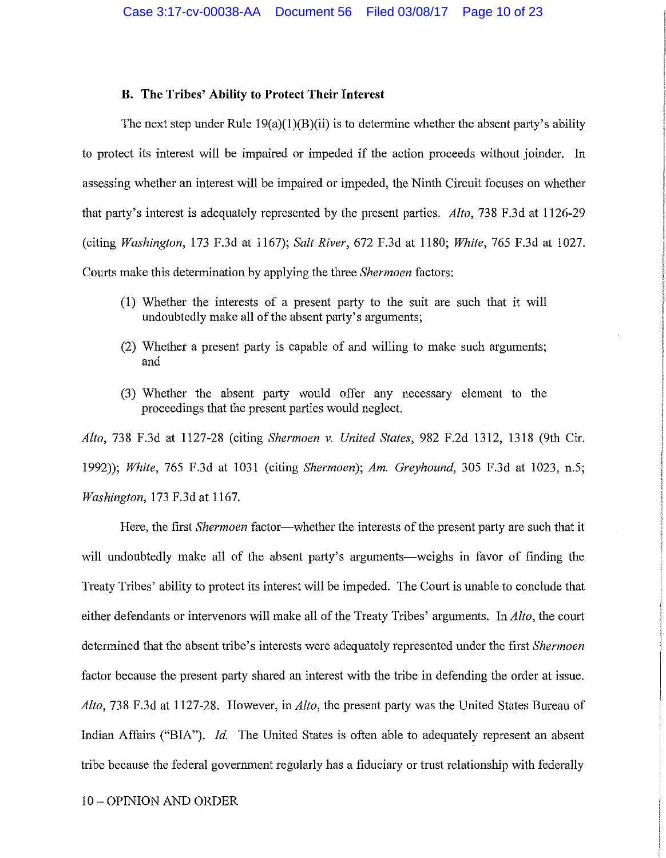### **B. The Tribes' Ability to Protect Their Interest**

The next step under Rule  $19(a)(1)(B)(ii)$  is to determine whether the absent party's ability to protect its interest will be impaired or impeded if the action proceeds without joinder. In assessing whether an interest will be impaired or impeded, the Ninth Circuit focuses on whether that party's interest is adequately represented by the present parties. *Alto,* 738 F.3d at 1126-29 (citing *Washington,* 173 F.3d at 1167); *Salt River,* 672 F.3d at 1180; *White,* 765 F.3d at 1027. Courts make this determination by applying the three *Shermoen* factors:

- (1) Whether the interests of a present party to the suit are such that it will undoubtedly make all of the absent party's arguments;
- (2) Whether a present party is capable of and willing to make such arguments; and
- (3) Whether the absent party would offer any necessary element to the proceedings that the present parties would neglect.

*Alto,* 738 F.3d at 1127-28 (citing *Shermoen v. United States,* 982 F.2d 1312, 1318 (9th Cir. 1992)); *White,* 765 F.3d at 1031 (citing *Shermoen); Am. Greyhound,* 305 F.3d at 1023, n.5; *Washington,* 173 F.3d at 1167.

Here, the first *Shermoen* factor—whether the interests of the present party are such that it will undoubtedly make all of the absent party's arguments—weighs in favor of finding the Treaty Tribes' ability to protect its interest will be impeded. The Court is unable to conclude that either defendants or intervenors will make all of the Treaty Tribes' arguments. In *Alto,* the court determined that the absent tribe's interests were adequately represented under the first *Shermoen*  factor because the present party shared an interest with the tribe in defending the order at issue. *Alto,* 738 F.3d at 1127-28. However, in *Alto,* the present party was the United States Bureau of Indian Affairs ("BIA"). *Id.* The United States is often able to adequately represent an absent tribe because the federal government regularly has a fiduciary or trust relationship with federally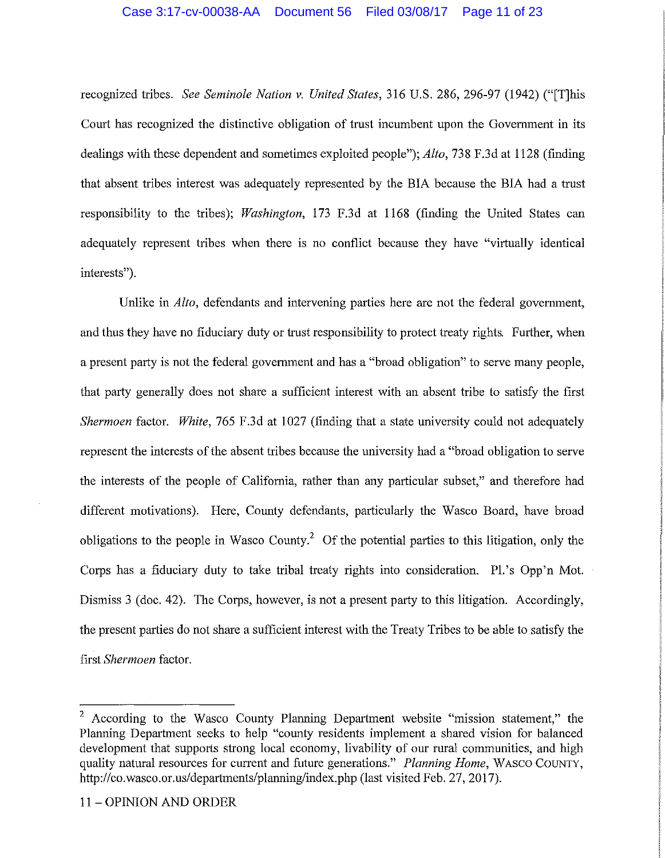#### Case 3:17-cv-00038-AA Document 56 Filed 03/08/17 Page 11 of 23

recognized tribes. *See Seminole Nation v. United States,* 316 U.S. 286, 296-97 (1942) ("[T]his Court has recognized the distinctive obligation of trust incumbent upon the Government in its dealings with these dependent and sometimes exploited people"); *Alto,* 738 F.3d at 1128 (finding that absent tribes interest was adequately represented by the BIA because the BIA had a trust responsibility to the tribes); *Washington,* 173 F.3d at 1168 (finding the United States can adequately represent tribes when there is no conflict because they have "virtually identical interests").

Unlike in *Alto,* defendants and intervening parties here are not the federal government, and thus they have no fiduciary duty or trust responsibility to protect treaty rights. Further, when a present party is not the federal government and has a "broad obligation" to serve many people, that party generally does not share a sufficient interest with an absent tribe to satisfy the first *Shermoen* factor. *White,* 765 F.3d at 1027 (finding that a state university could not adequately represent the interests of the absent tribes because the university had a "broad obligation to serve the interests of the people of California, rather than any particular subset," and therefore had different motivations). Here, County defendants, particularly the Wasco Board, have broad obligations to the people in Wasco County.<sup>2</sup> Of the potential parties to this litigation, only the Corps has a fiduciary duty to take tribal treaty rights into consideration. Pl.'s Opp'n Mot. Dismiss 3 (doc. 42). The Corps, however, is not a present party to this litigation. Accordingly, the present parties do not share a sufficient interest with the Treaty Tribes to be able to satisfy the first *Shermoen* factor.

<sup>2</sup> According to the Wasco County Planning Department website "mission statement," the Planning Department seeks to help "county residents implement a shared vision for balanced development that supports strong local economy, livability of our rural communities, and high quality natural resources for current and future generations." *Planning Home,* WASCO COUNTY, http://co.wasco.or.us/departments/planning/index.php (last visited Feb. 27, 2017).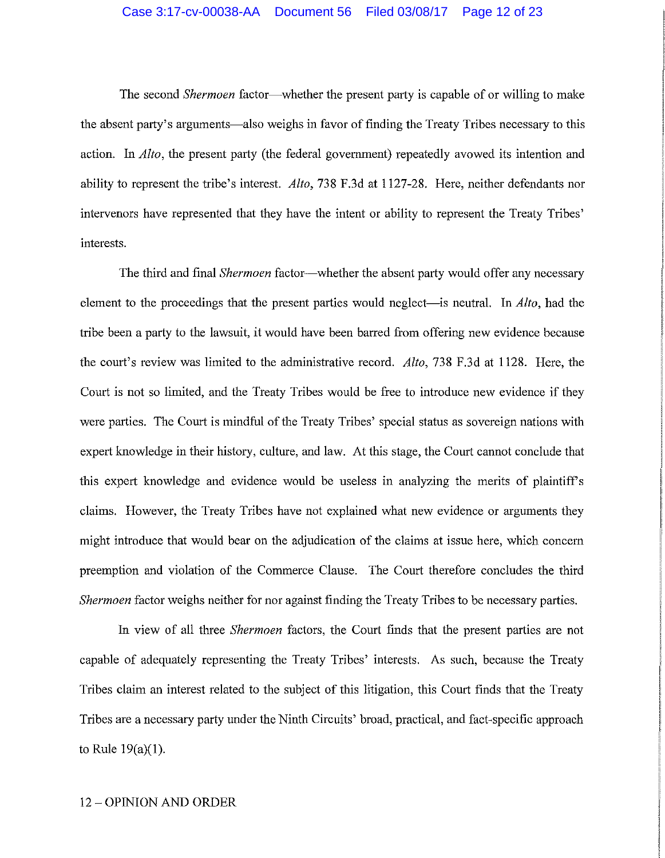#### Case 3:17-cv-00038-AA Document 56 Filed 03/08/17 Page 12 of 23

The second *Shermoen* factor—whether the present party is capable of or willing to make the absent party's arguments—also weighs in favor of finding the Treaty Tribes necessary to this action. In *Alto,* the present party (the federal government) repeatedly avowed its intention and ability to represent the tribe's interest. *Alto,* 738 F.3d at 1127-28. Here, neither defendants nor intervenors have represented that they have the intent or ability to represent the Treaty Tribes' interests.

The third and final *Shermoen* factor--whether the absent party would offer any necessary element to the proceedings that the present parties would neglect—is neutral. In *Alto*, had the tribe been a party to the lawsuit, it would have been barred from offering new evidence because the court's review was limited to the administrative record. *Alto,* 738 F.3d at 1128. Here, the Coutt is not so limited, and the Treaty Tribes would be free to introduce new evidence if they were parties. The Court is mindful of the Treaty Tribes' special status as sovereign nations with expert knowledge in their history, culture, and law. At this stage, the Court cannot conclude that this expert knowledge and evidence would be useless in analyzing the merits of plaintiffs claims. However, the Treaty Tribes have not explained what new evidence or arguments they might introduce that would bear on the adjudication of the claims at issue here, which concern preemption and violation of the Commerce Clause. The Court therefore concludes the third *Shermoen* factor weighs neither for nor against finding the Treaty Tribes to be necessary parties.

In view of all three *Shermoen* factors, the Court finds that the present parties are not capable of adequately representing the Treaty Tribes' interests. As such, because the Treaty Tribes claim an interest related to the subject of this litigation, this Court finds that the Treaty Tribes are a necessary party under the Ninth Circuits' broad, practical, and fact-specific approach to Rule 19(a)(l).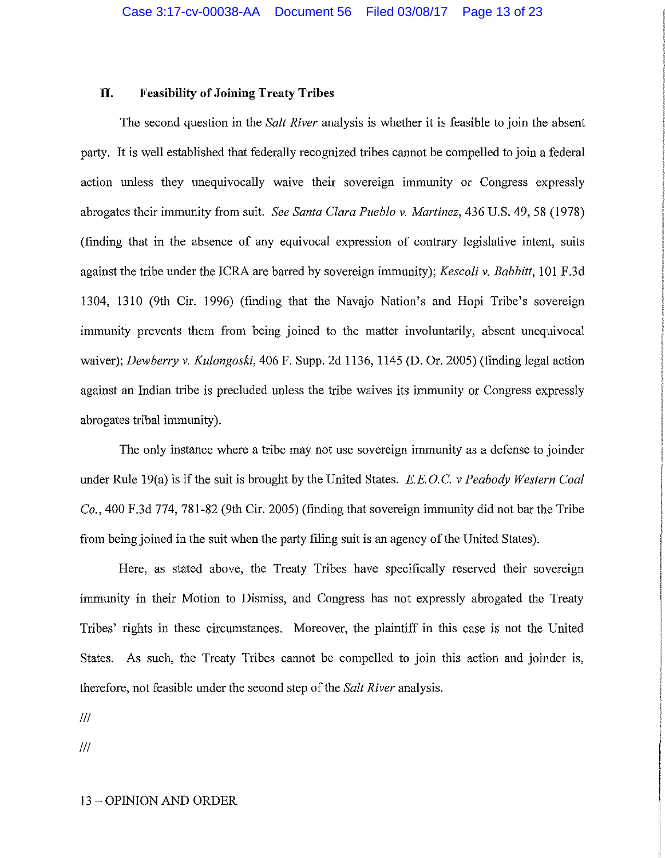## **II. Feasibility of Joining Treaty Tribes**

The second question in the *Salt River* analysis is whether it is feasible to join the absent party. It is well established that federally recognized tribes cannot be compelled to join a federal action unless they unequivocally waive their sovereign immunity or Congress expressly abrogates their immunity from suit. *See Santa Clara Pueblo v. Martinez,* 436 U.S. 49, 58 (1978) (finding that in the absence of any equivocal expression of contrary legislative intent, suits against the tribe under the ICRA are barred by sovereign immunity); *Kescoli v. Babbitt,* IOI F.3d 1304, 1310 (9th Cir. 1996) (finding that the Navajo Nation's and Hopi Tribe's sovereign immunity prevents them from being joined to the matter involuntarily, absent unequivocal waiver); *Dewberry v. Kulongoski,* 406 F. Supp. 2d 1136, 1145 (D. Or. 2005) (finding legal action against an Indian tribe is precluded unless the tribe waives its immunity or Congress expressly abrogates tribal immunity).

The only instance where a tribe may not use sovereign immunity as a defense to joinder under Rule 19(a) is ifthe suit is brought by the United States. *E.E.* O.C. *v Peabody Western Coal Co.,* 400 F.3d 774, 781-82 (9th Cir. 2005) (finding that sovereign immunity did not bar the Tribe from being joined in the suit when the party filing suit is an agency of the United States).

Here, as stated above, the Treaty Tribes have specifically reserved their sovereign immunity in their Motion to Dismiss, and Congress has not expressly abrogated the Treaty Tribes' rights in these circumstances. Moreover, the plaintiff in this case is not the United States. As such, the Treaty Tribes cannot be compelled to join this action and joinder is, therefore, not feasible under the second step of the *Salt River* analysis.

Ill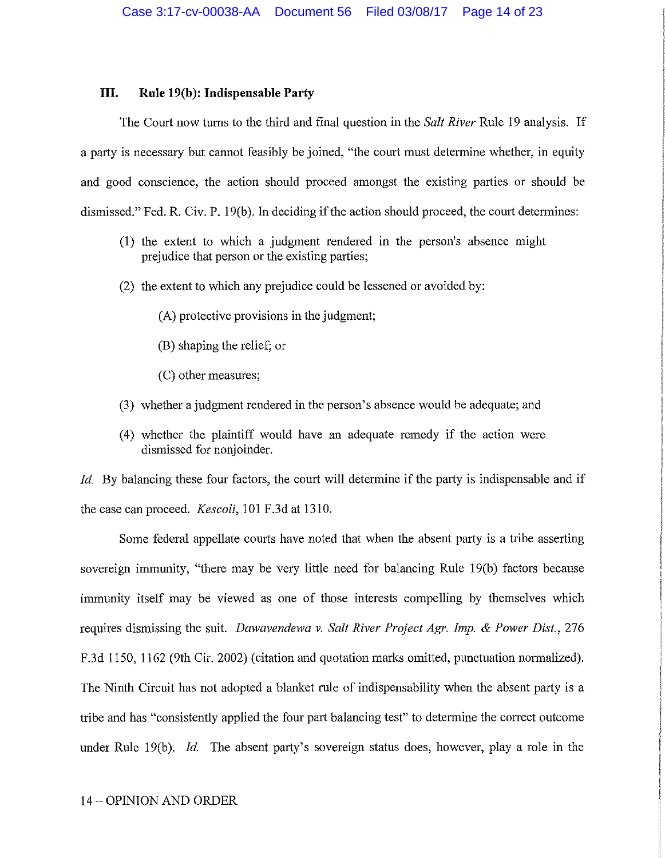### **III.** Rule 19(b): Indispensable Party

The Court now turns to the third and final question in the *Salt River* Rule 19 analysis. If a party is necessary but cannot feasibly be joined, "the court must determine whether, in equity and good conscience, the action should proceed amongst the existing parties or should be dismissed." Fed. R. Civ. P. 19(b). In deciding if the action should proceed, the court determines:

- (1) the extent to which a judgment rendered in the person's absence might prejudice that person or the existing parties;
- (2) the extent to which any prejudice could be lessened or avoided by:
	- (A) protective provisions in the judgment;
	- (B) shaping the relief; or
	- (C) other measures;
- (3) whether a judgment rendered in the person's absence would be adequate; and
- ( 4) whether the plaintiff would have an adequate remedy if the action were dismissed for nonjoinder.

*Id.* By balancing these four factors, the court will determine if the party is indispensable and if the case can proceed. *Kescoli*, 101 F.3d at 1310.

Some federal appellate courts have noted that when the absent party is a tribe asserting sovereign immunity, "there may be very little need for balancing Rule 19(b) factors because immunity itself may be viewed as one of those interests compelling by themselves which requires dismissing the suit. *Dawavendewa v. Salt River Project Agr. Imp.* & *Power Dist.,* 276 F.3d 1150, 1162 (9th Cir. 2002) (citation and quotation marks omitted, punctuation normalized). The Ninth Circuit has not adopted a blanket rule of indispensability when the absent party is a tribe and has "consistently applied the four part balancing test" to determine the correct outcome under Rule 19(b). *Id.* The absent party's sovereign status does, however, play a role in the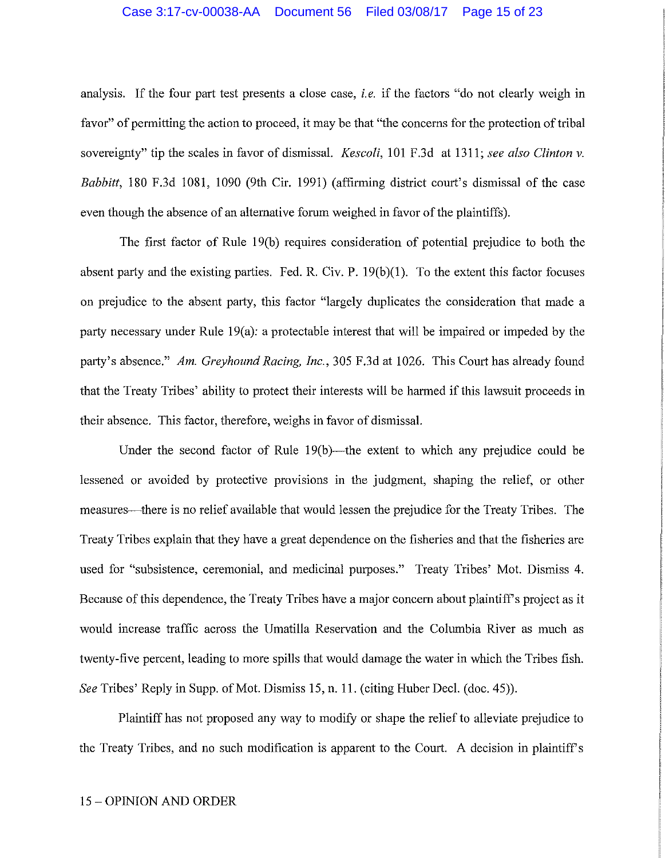#### Case 3:17-cv-00038-AA Document 56 Filed 03/08/17 Page 15 of 23

analysis. If the four part test presents a close case, *i.e.* if the factors "do not clearly weigh in favor" of permitting the action to proceed, it may be that "the concerns for the protection of tribal sovereignty" tip the scales in favor of dismissal. *Kescoli,* 101 F.3d at 1311; *see also Clinton v. Babbitt,* 180 F.3d 1081, 1090 (9th Cir. 1991) (affirming district court's dismissal of the case even though the absence of an alternative forum weighed in favor of the plaintiffs).

The first factor of Rule 19(b) requires consideration of potential prejudice to both the absent party and the existing parties. Fed. R. Civ. P. 19(b)(1). To the extent this factor focuses on prejudice to the absent party, this factor "largely duplicates the consideration that made a party necessary under Rule 19(a): a protectable interest that will be impaired or impeded by the party's absence." *Am. Greyhound Racing, Inc.,* 305 F.3d at 1026. This Court has already found that the Treaty Tribes' ability to protect their interests will be harmed if this lawsuit proceeds in their absence. This factor, therefore, weighs in favor of dismissal.

Under the second factor of Rule  $19(b)$ —the extent to which any prejudice could be lessened or avoided by protective provisions in the judgment, shaping the relief, or other measures—there is no relief available that would lessen the prejudice for the Treaty Tribes. The Treaty Tribes explain that they have a great dependence on the fisheries and that the fisheries are used for "subsistence, ceremonial, and medicinal purposes." Treaty Tribes' Mot. Dismiss 4. Because of this dependence, the Treaty Tribes have a major concern about plaintiff's project as it would increase traffic across the Umatilla Reservation and the Columbia River as much as twenty-five percent, leading to more spills that would damage the water in which the Tribes fish. *See* Tribes' Reply in Supp. of Mot. Dismiss 15, n. 11. (citing Huber Deel. (doc. 45)).

Plaintiff has not proposed any way to modify or shape the relief to alleviate prejudice to the Treaty Tribes, and no such modification is apparent to the Court. A decision in plaintiff's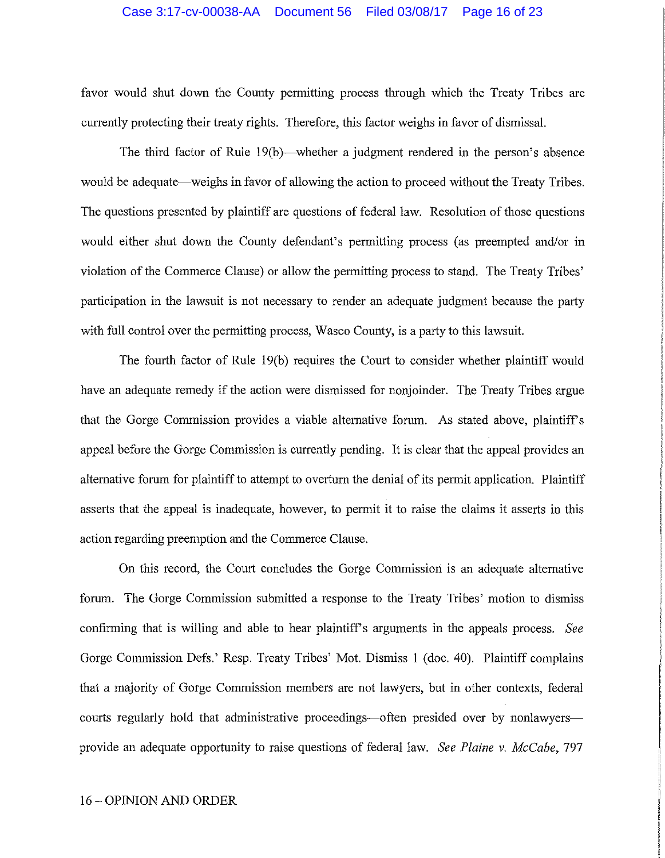#### Case 3:17-cv-00038-AA Document 56 Filed 03/08/17 Page 16 of 23

favor would shut down the County permitting process through which the Treaty Tribes are cunently protecting their treaty rights. Therefore, this factor weighs in favor of dismissal.

The third factor of Rule 19(b)—whether a judgment rendered in the person's absence would be adequate—weighs in favor of allowing the action to proceed without the Treaty Tribes. The questions presented by plaintiff are questions of federal law. Resolution of those questions would either shut down the County defendant's permitting process (as preempted and/or in violation of the Commerce Clause) or allow the permitting process to stand. The Treaty Tribes' participation in the lawsuit is not necessary to render an adequate judgment because the party with full control over the permitting process, Wasco County, is a party to this lawsuit.

The fourth factor of Rule 19(b) requires the Court to consider whether plaintiff would have an adequate remedy if the action were dismissed for nonjoinder. The Treaty Tribes argue that the Gorge Commission provides a viable alternative forum. As stated above, plaintiffs appeal before the Gorge Commission is currently pending. It is clear that the appeal provides an alternative forum for plaintiff to attempt to overturn the denial of its permit application. Plaintiff asserts that the appeal is inadequate, however, to permit it to raise the claims it asserts in this action regarding preemption and the Commerce Clause.

On this record, the Court concludes the Gorge Commission is an adequate alternative forum. The Gorge Commission submitted a response to the Treaty Tribes' motion to dismiss confirming that is willing and able to hear plaintiffs arguments in the appeals process. *See*  Gorge Commission Defs.' Resp. Treaty Tribes' Mot. Dismiss 1 (doc. 40). Plaintiff complains that a majority of Gorge Commission members are not lawyers, but in other contexts, federal courts regularly hold that administrative proceedings—often presided over by nonlawyers provide an adequate opportunity to raise questions of federal law. *See Plaine v. McCabe,* 797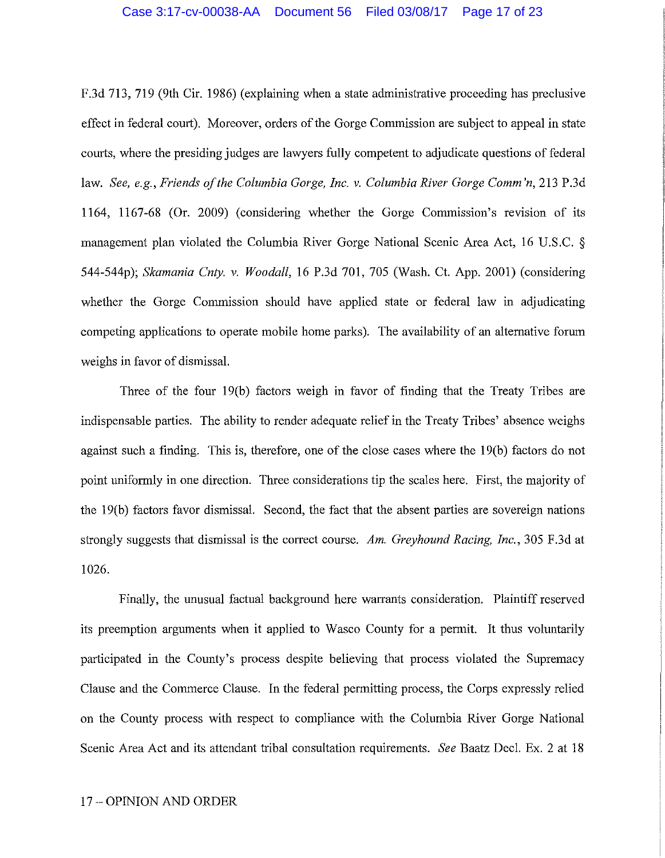#### Case 3:17-cv-00038-AA Document 56 Filed 03/08/17 Page 17 of 23

F.3d 713, 719 (9th Cir. 1986) (explaining when a state administrative proceeding has preclusive effect in federal court). Moreover, orders of the Gorge Commission are subject to appeal in state courts, where the presiding judges are lawyers fully competent to adjudicate questions of federal law. *See, e.g., Friends of the Columbia Gorge, Inc. v. Columbia River Gorge Comm'n,* 213 P.3d 1164, 1167-68 (Or. 2009) (considering whether the Gorge Commission's revision of its management plan violated the Columbia River Gorge National Scenic Area Act, 16 U.S.C. *§*  544-544p); *Skamania Cnty. v. Woodall,* 16 P.3d 701, 705 (Wash. Ct. App. 2001) (considering whether the Gorge Commission should have applied state or federal law in adjudicating competing applications to operate mobile home parks). The availability of an alternative forum weighs in favor of dismissal.

Three of the four 19(b) factors weigh in favor of finding that the Treaty Tribes are indispensable parties. The ability to render adequate relief in the Treaty Tribes' absence weighs against such a finding. This is, therefore, one of the close cases where the 19(b) factors do not point uniformly in one direction. Three considerations tip the scales here. First, the majority of the 19(b) factors favor dismissal. Second, the fact that the absent parties are sovereign nations strongly suggests that dismissal is the correct course. *Am. Greyhound Racing, Inc.,* 305 F .3d at 1026.

Finally, the unusual factual background here warrants consideration. Plaintiff reserved its preemption arguments when it applied to Wasco County for a permit. It thus voluntarily participated in the County's process despite believing that process violated the Supremacy Clause and the Commerce Clause. In the federal permitting process, the Corps expressly relied on the County process with respect to compliance with the Columbia River Gorge National Scenic Area Act and its attendant tribal consultation requirements. *See* Baatz Deel. Ex. 2 at 18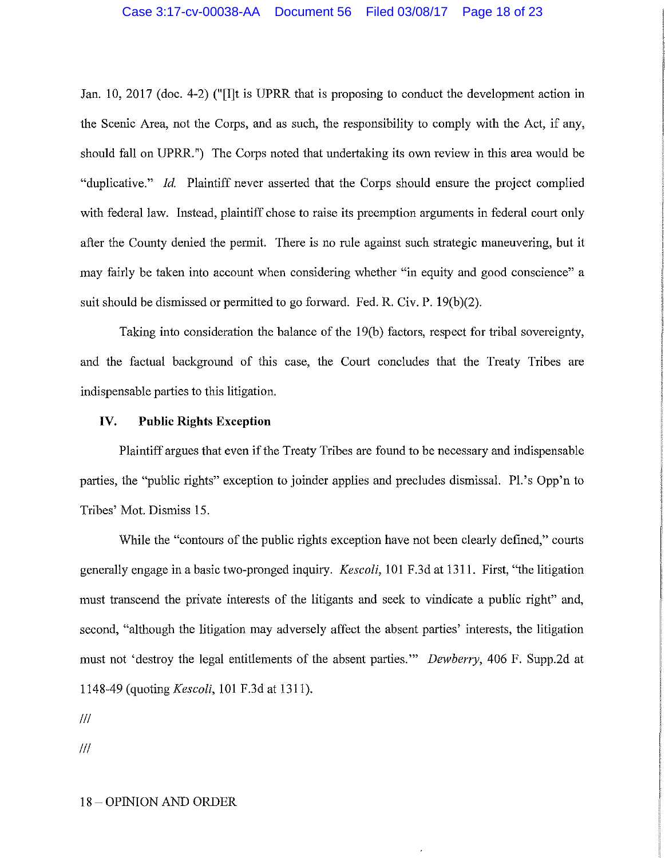#### Case 3:17-cv-00038-AA Document 56 Filed 03/08/17 Page 18 of 23

Jan. 10, 2017 (doc. 4-2) ("[I]t is UPRR that is proposing to conduct the development action in the Scenic Area, not the Corps, and as such, the responsibility to comply with the Act, if any, should fall on UPRR. ") The Corps noted that undertaking its own review in this area would be "duplicative." *Id.* Plaintiff never asserted that the Corps should ensure the project complied with federal law. Instead, plaintiff chose to raise its preemption arguments in federal court only after the County denied the permit. There is no rule against such strategic maneuvering, but it may fairly be taken into account when considering whether "in equity and good conscience" a suit should be dismissed or permitted to go forward. Fed. R. Civ. P. 19(b)(2).

Taking into consideration the balance of the 19(b) factors, respect for tribal sovereignty, and the factual background of this case, the Court concludes that the Treaty Tribes are indispensable parties to this litigation.

### **IV. Public Rights Exception**

Plaintiff argues that even if the Treaty Tribes are found to be necessary and indispensable parties, the "public rights" exception to joinder applies and precludes dismissal. Pl.'s Opp'n to Tribes' Mot. Dismiss 15.

While the "contours of the public rights exception have not been clearly defined," courts generally engage in a basic two-pronged inquiry. *Kescoli,* 101 F.3d at 1311. First, "the litigation must transcend the private interests of the litigants and seek to vindicate a public right" and, second, "although the litigation may adversely affect the absent parties' interests, the litigation must not 'destroy the legal entitlements of the absent parties."' *Dewberry,* 406 F. Supp.2d at 1148-49 (quoting *Kescoli,* 101 F.3d at 1311).

Ill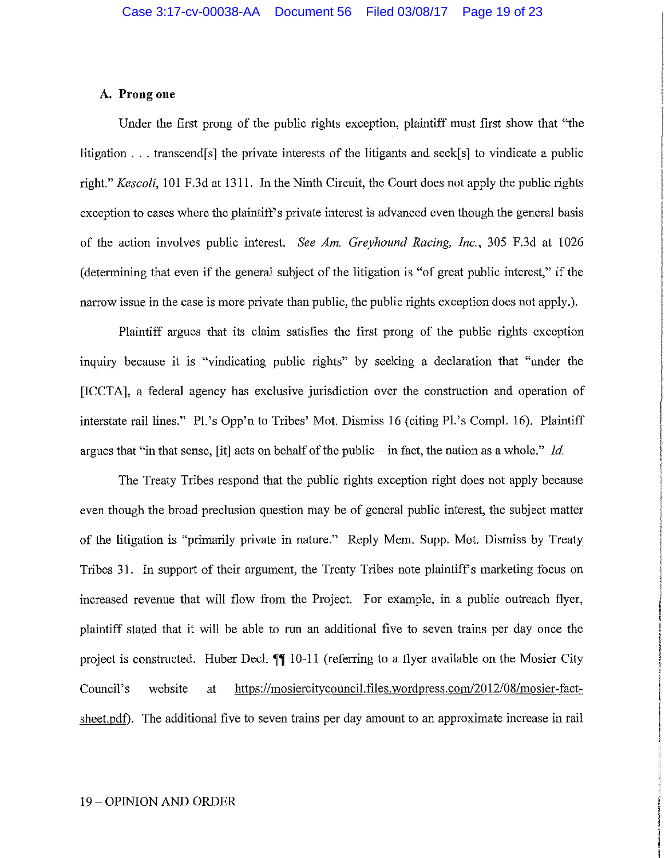## **A. Prong one**

Under the first prong of the public rights exception, plaintiff must first show that "the litigation  $\ldots$  transcend[s] the private interests of the litigants and seek[s] to vindicate a public right." *Kescoli,* 101 F.3d at 1311. In the Ninth Circuit, the Court does not apply the public rights exception to cases where the plaintiff's private interest is advanced even though the general basis of the action involves public interest. *See Am. Greyhound Racing, Inc.,* 305 F .3d at 1026 ( detennining that even if the general subject of the litigation is "of great public interest," if the narrow issue in the case is more private than public, the public rights exception does not apply.).

Plaintiff argues that its claim satisfies the first prong of the public rights exception inquiry because it is "vindicating public rights" by seeking a declaration that "under the [ICCTA], a federal agency has exclusive jurisdiction over the construction and operation of interstate rail lines." Pl.'s Opp'n to Tribes' Mot. Dismiss 16 (citing Pl.'s Compl. 16). Plaintiff argues that "in that sense, [it] acts on behalf of the public-in fact, the nation as a whole." *Id.* 

The Treaty Tribes respond that the public rights exception right does not apply because even though the broad preclusion question may be of general public interest, the subject matter of the litigation is "primarily private in nature." Reply Mem. Supp. Mot. Dismiss by Treaty Tribes 31. In support of their argument, the Treaty Tribes note plaintiff's marketing focus on increased revenue that will flow from the Project. For example, in a public outreach flyer, plaintiff stated that it will be able to run an additional five to seven trains per day once the project is constructed. Huber Decl.  $\P\P$  10-11 (referring to a flyer available on the Mosier City Council's website at https://mosiercitycouncil.files.wordpress.com/2012/08/mosier-factsheet.pdf). The additional five to seven trains per day amount to an approximate increase in rail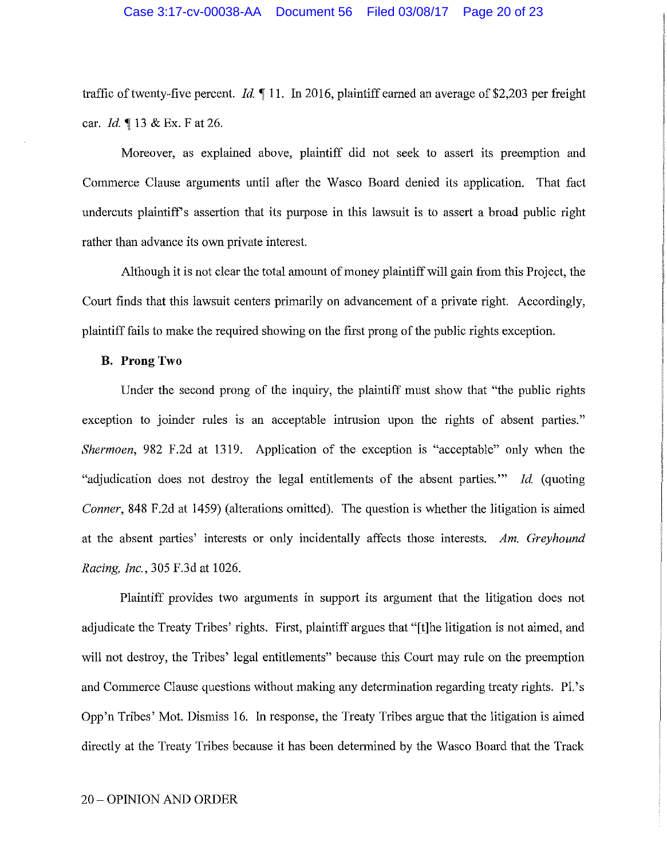traffic of twenty-five percent. *Id.* 11. In 2016, plaintiff earned an average of \$2,203 per freight car. *Id.* 13 & Ex. F at 26.

Moreover, as explained above, plaintiff did not seek to assert its preemption and Commerce Clause arguments until after the Wasco Board denied its application. That fact undercuts plaintiffs assertion that its purpose in this lawsuit is to assert a broad public right rather than advance its own private interest.

Although it is not clear the total amount of money plaintiff will gain from this Project, the Court finds that this lawsuit centers primarily on advancement of a private right. Accordingly, plaintiff fails to make the required showing on the first prong of the public rights exception.

# **B. ProngTwo**

Under the second prong of the inquiry, the plaintiff must show that "the public rights exception to joinder mles is an acceptable intrusion upon the rights of absent parties." *Shermoen*, 982 F.2d at 1319. Application of the exception is "acceptable" only when the "adjudication does not destroy the legal entitlements of the absent parties."' *Id* (quoting *Conner,* 848 F.2d at 1459) (alterations omitted). The question is whether the litigation is aimed at the absent parties' interests or only incidentally affects those interests. *Am. Greyhound Racing, Inc.,* 305 F.3d at 1026.

Plaintiff provides two arguments in support its argument that the litigation does not adjudicate the Treaty Tribes' rights. First, plaintiff argues that "[t]he litigation is not aimed, and will not destroy, the Tribes' legal entitlements" because this Court may rule on the preemption and Commerce Clause questions without making any determination regarding treaty rights. Pl.'s Opp'n Tribes' Mot. Dismiss 16. In response, the Treaty Tribes argue that the litigation is aimed directly at the Treaty Tribes because it has been determined by the Wasco Board that the Track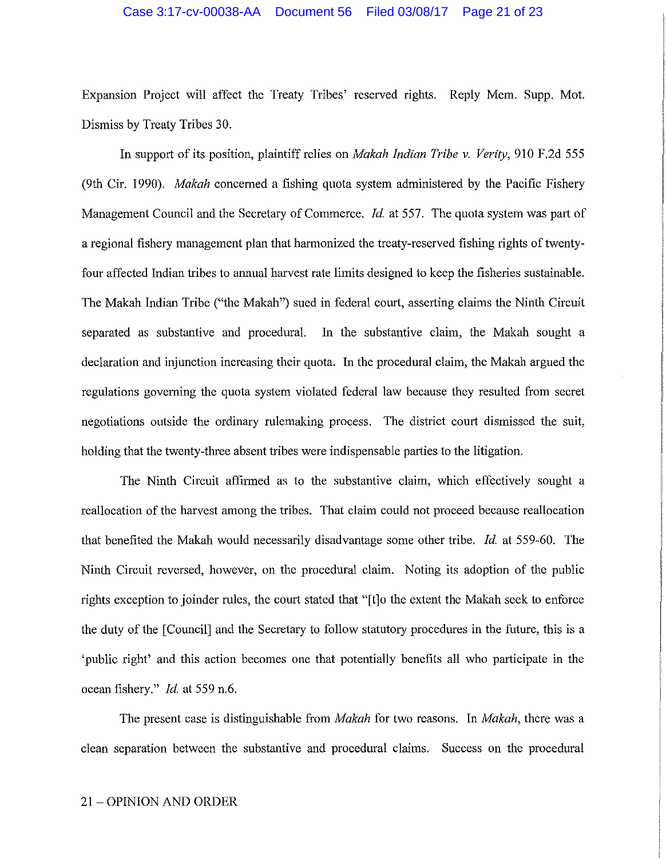#### Case 3:17-cv-00038-AA Document 56 Filed 03/08/17 Page 21 of 23

Expansion Project will affect the Treaty Tribes' reserved rights. Reply Mem. Supp. Mot. Dismiss by Treaty Tribes 30.

In support of its position, plaintiff relies on *Makah Indian Tribe v. Verity,* 910 F.2d 555 (9th Cir. 1990). *Makah* concerned a fishing quota system administered by the Pacific Fishery Management Council and the Secretary of Commerce. *Id.* at 557. The quota system was part of a regional fishery management plan that harmonized the treaty-reserved fishing rights of twentyfour affected Indian tribes to annual harvest rate limits designed to keep the fisheries sustainable. The Makah Indian Tribe ("the Makah") sued in federal court, asserting claims the Ninth Circuit separated as substantive and procedural. In the substantive claim, the Makah sought a declaration and injunction increasing their quota. In the procedural claim, the Makah argued the regulations governing the quota system violated federal law because they resulted from secret negotiations outside the ordinary rulemaking process. The district court dismissed the suit, holding that the twenty-three absent tribes were indispensable parties to the litigation.

The Ninth Circuit affirmed as to the substantive claim, which effectively sought a reallocation of the harvest among the tribes. That claim could not proceed because reallocation that benefited the Makah would necessarily disadvantage some other tribe. *Id.* at 559-60. The Ninth Circuit reversed, however, on the procedural claim. Noting its adoption of the public rights exception to joinder rules, the court stated that "[t]o the extent the Makah seek to enforce the duty of the [Council] and the Secretary to follow statutory procedures in the future, this is a 'public right' and this action becomes one that potentially benefits all who participate in the ocean fishery." *Id.* at 559 n.6.

The present case is distinguishable from *Makah* for two reasons. In *Makah,* there was a clean separation between the substantive and procedural claims. Success on the procedural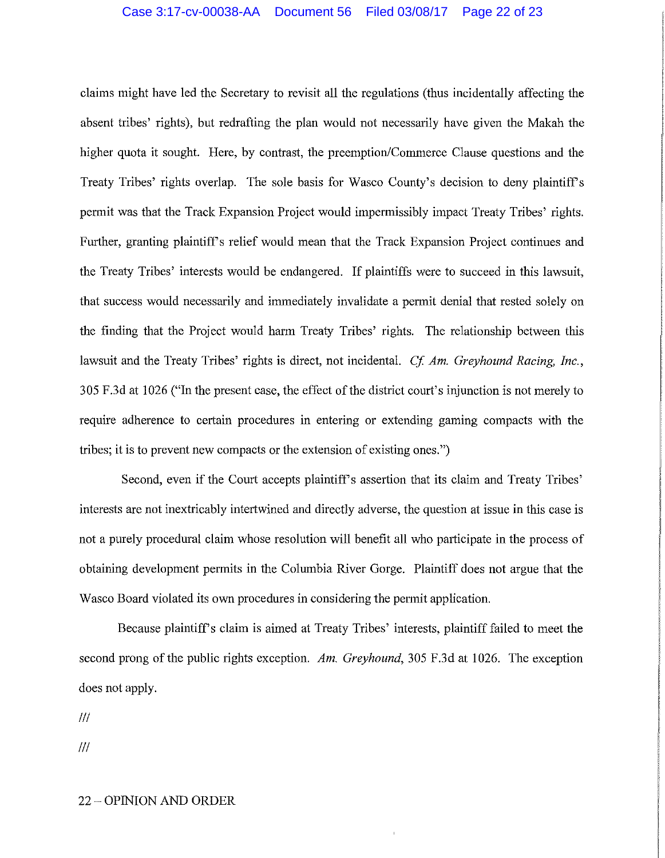claims might have led the Secretary to revisit all the regulations (thus incidentally affecting the absent tribes' rights), but redrafting the plan would not necessarily have given the Makah the higher quota it sought. Here, by contrast, the preemption/Commerce Clause questions and the Treaty Tribes' rights overlap. The sole basis for Wasco County's decision to deny plaintiffs permit was that the Track Expansion Project would impermissibly impact Treaty Tribes' rights. Further, granting plaintiff's relief would mean that the Track Expansion Project continues and the Treaty Tribes' interests would be endangered. If plaintiffs were to succeed in this lawsuit, that success would necessarily and immediately invalidate a permit denial that rested solely on the finding that the Project would harm Treaty Tribes' rights. The relationship between this lawsuit and the Treaty Tribes' rights is direct, not incidental. *Cf Am. Greyhound Racing, Inc.,*  305 F.3d at 1026 ("In the present case, the effect of the district court's injunction is not merely to require adherence to certain procedures in entering or extending gaming compacts with the tribes; it is to prevent new compacts or the extension of existing ones.")

Second, even if the Court accepts plaintiff's assertion that its claim and Treaty Tribes' interests are not inextricably intertwined and directly adverse, the question at issue in this case is not a purely procedural claim whose resolution will benefit all who participate in the process of obtaining development permits in the Columbia River Gorge. Plaintiff does not argue that the Wasco Board violated its own procedures in considering the permit application.

Because plaintiff's claim is aimed at Treaty Tribes' interests, plaintiff failed to meet the second prong of the public rights exception. *Am. Greyhound,* 305 F.3d at 1026. The exception does not apply.

Ill